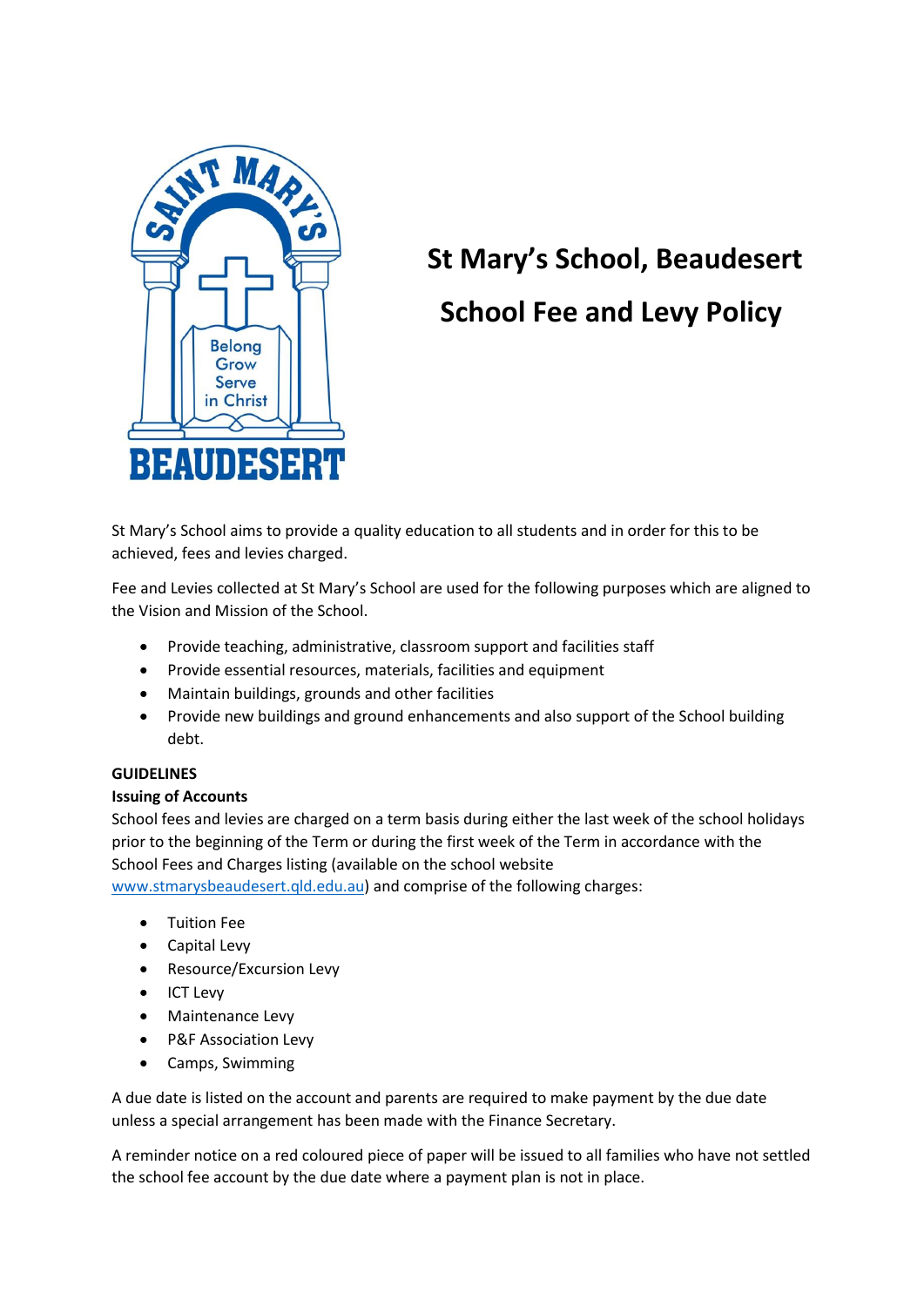

# **St Mary's School, Beaudesert**

# **School Fee and Levy Policy**

St Mary's School aims to provide a quality education to all students and in order for this to be achieved, fees and levies charged.

Fee and Levies collected at St Mary's School are used for the following purposes which are aligned to the Vision and Mission of the School.

- Provide teaching, administrative, classroom support and facilities staff
- Provide essential resources, materials, facilities and equipment
- Maintain buildings, grounds and other facilities
- Provide new buildings and ground enhancements and also support of the School building debt.

# **GUIDELINES**

# **Issuing of Accounts**

School fees and levies are charged on a term basis during either the last week of the school holidays prior to the beginning of the Term or during the first week of the Term in accordance with the School Fees and Charges listing (available on the school website

[www.stmarysbeaudesert.qld.edu.au\)](http://www.stmarysbeaudesert.qld.edu.au/) and comprise of the following charges:

- Tuition Fee
- Capital Levy
- Resource/Excursion Levy
- ICT Levy
- Maintenance Levy
- P&F Association Levy
- Camps, Swimming

A due date is listed on the account and parents are required to make payment by the due date unless a special arrangement has been made with the Finance Secretary.

A reminder notice on a red coloured piece of paper will be issued to all families who have not settled the school fee account by the due date where a payment plan is not in place.